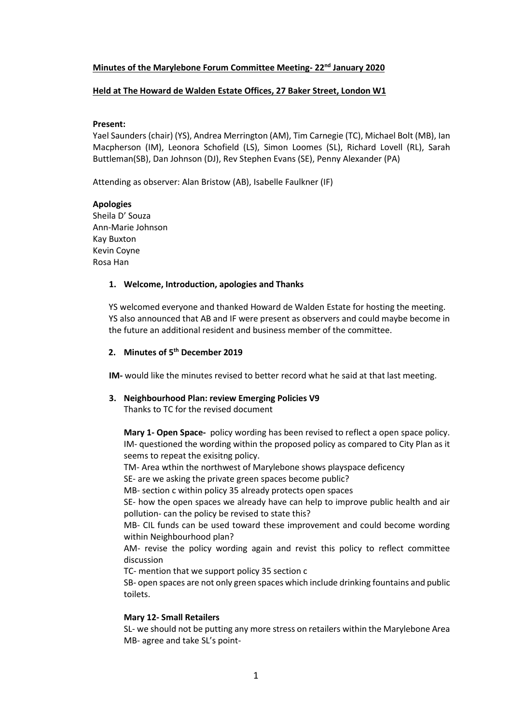### **Minutes of the Marylebone Forum Committee Meeting- 22nd January 2020**

### **Held at The Howard de Walden Estate Offices, 27 Baker Street, London W1**

### **Present:**

Yael Saunders (chair) (YS), Andrea Merrington (AM), Tim Carnegie (TC), Michael Bolt (MB), Ian Macpherson (IM), Leonora Schofield (LS), Simon Loomes (SL), Richard Lovell (RL), Sarah Buttleman(SB), Dan Johnson (DJ), Rev Stephen Evans (SE), Penny Alexander (PA)

Attending as observer: Alan Bristow (AB), Isabelle Faulkner (IF)

### **Apologies**

Sheila D' Souza Ann-Marie Johnson Kay Buxton Kevin Coyne Rosa Han

### **1. Welcome, Introduction, apologies and Thanks**

YS welcomed everyone and thanked Howard de Walden Estate for hosting the meeting. YS also announced that AB and IF were present as observers and could maybe become in the future an additional resident and business member of the committee.

# **2. Minutes of 5 th December 2019**

**IM-** would like the minutes revised to better record what he said at that last meeting.

## **3. Neighbourhood Plan: review Emerging Policies V9**

Thanks to TC for the revised document

**Mary 1- Open Space-** policy wording has been revised to reflect a open space policy. IM- questioned the wording within the proposed policy as compared to City Plan as it seems to repeat the exisitng policy.

TM- Area wthin the northwest of Marylebone shows playspace deficency

SE- are we asking the private green spaces become public?

MB- section c within policy 35 already protects open spaces

SE- how the open spaces we already have can help to improve public health and air pollution- can the policy be revised to state this?

MB- CIL funds can be used toward these improvement and could become wording within Neighbourhood plan?

AM- revise the policy wording again and revist this policy to reflect committee discussion

TC- mention that we support policy 35 section c

SB- open spaces are not only green spaces which include drinking fountains and public toilets.

### **Mary 12- Small Retailers**

SL- we should not be putting any more stress on retailers within the Marylebone Area MB- agree and take SL's point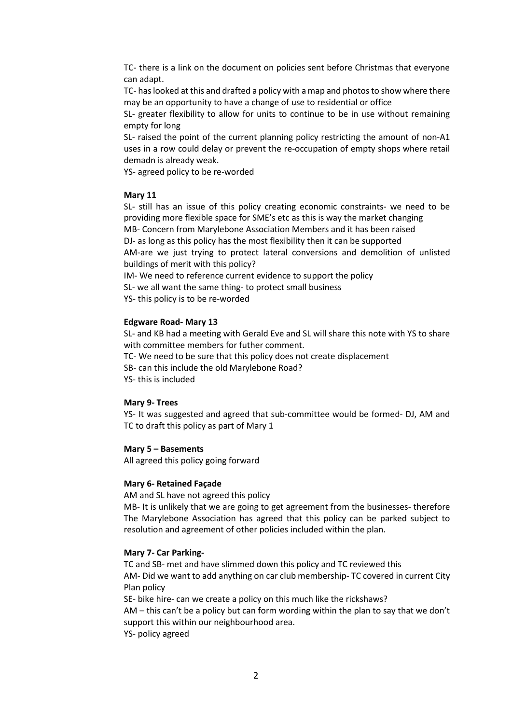TC- there is a link on the document on policies sent before Christmas that everyone can adapt.

TC- has looked at this and drafted a policy with a map and photos to show where there may be an opportunity to have a change of use to residential or office

SL- greater flexibility to allow for units to continue to be in use without remaining empty for long

SL- raised the point of the current planning policy restricting the amount of non-A1 uses in a row could delay or prevent the re-occupation of empty shops where retail demadn is already weak.

YS- agreed policy to be re-worded

## **Mary 11**

SL- still has an issue of this policy creating economic constraints- we need to be providing more flexible space for SME's etc as this is way the market changing MB- Concern from Marylebone Association Members and it has been raised DJ- as long as this policy has the most flexibility then it can be supported AM-are we just trying to protect lateral conversions and demolition of unlisted buildings of merit with this policy?

IM- We need to reference current evidence to support the policy

SL- we all want the same thing- to protect small business

YS- this policy is to be re-worded

### **Edgware Road- Mary 13**

SL- and KB had a meeting with Gerald Eve and SL will share this note with YS to share with committee members for futher comment.

TC- We need to be sure that this policy does not create displacement

SB- can this include the old Marylebone Road?

YS- this is included

### **Mary 9- Trees**

YS- It was suggested and agreed that sub-committee would be formed- DJ, AM and TC to draft this policy as part of Mary 1

### **Mary 5 – Basements**

All agreed this policy going forward

### **Mary 6- Retained Façade**

AM and SL have not agreed this policy

MB- It is unlikely that we are going to get agreement from the businesses- therefore The Marylebone Association has agreed that this policy can be parked subject to resolution and agreement of other policies included within the plan.

## **Mary 7- Car Parking-**

TC and SB- met and have slimmed down this policy and TC reviewed this AM- Did we want to add anything on car club membership- TC covered in current City Plan policy

SE- bike hire- can we create a policy on this much like the rickshaws? AM – this can't be a policy but can form wording within the plan to say that we don't support this within our neighbourhood area.

YS- policy agreed